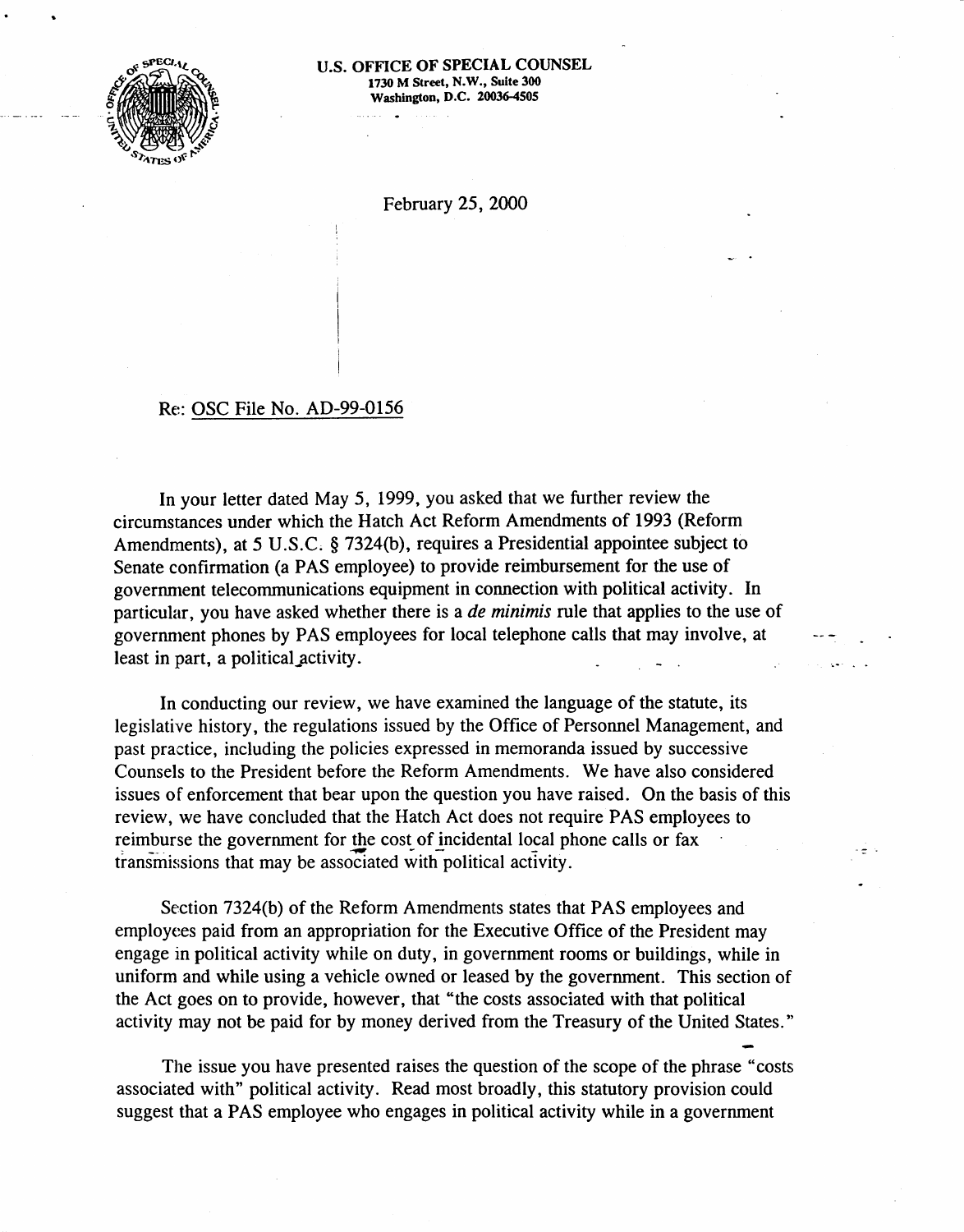

u.s. OFFICE OF SPECIAL COUNSEL 1730 M Street, N.W., Suite 300 Washington, D.C. 20036-4505

February 25, 2000

# Re: OSC File No. AD-99-0156

In your letter dated May 5, 1999, you asked that we further review the circumstances under which the Hatch Act Reform Amendments of 1993 (Reform Amendments), at 5 U.S.C. § 7324(b), requires a Presidential appointee subject to Senate confirmation (a PAS employee) to provide reimbursement for the use of government telecommunications equipment in connection with political activity. In particular, you have asked whether there is a *de minimis* rule that applies to the use of government phones by PAS employees for local telephone calls that may involve, at least in part, a political\_activity.

In conducting our review, we have examined the language of the statute, its legislative history, the regulations issued by the Office of Personnel Management, and past practice, including the policies expressed in memoranda issued by successive Counsels to the President before the Reform Amendments. We have also considered issues of enforcement that bear upon the question you have raised. On the basis of this review, we have concluded that the Hatch Act does not require PAS employees to reimburse the government for the cost of incidental local phone calls or fax transmissions that may be associated with political activity.

Section 7324(b) of the Reform Amendments states that PAS employees and employees paid from an appropriation for the Executive Office of the President may engage in political activity while on duty, in government rooms or buildings, while in uniform and while using a vehicle owned or leased by the government. This section of the Act goes on to provide, however, that "the costs associated with that political activity may not be paid for by money derived from the Treasury of the United States."

The issue you have presented raises the question of the scope of the phrase "costs associated with" political activity. Read most broadly, this statutory provision could suggest that a PAS employee who engages in political activity while in a government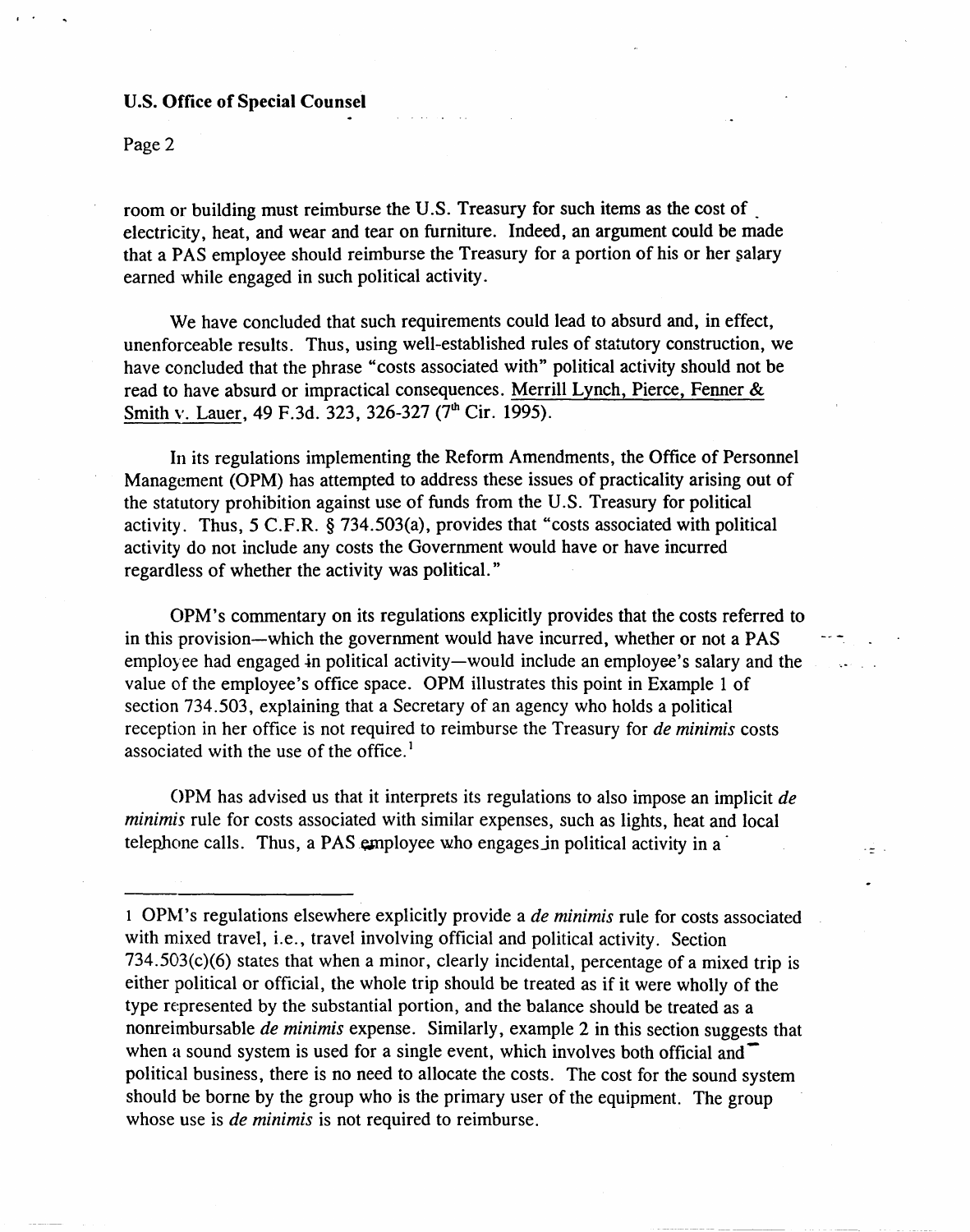### U.S. Office of Special Counsel

Page 2

 $\cdot$  .

room or building must reimburse the U.S. Treasury for such items as the cost of electricity, heat, and wear and tear on furniture. Indeed, an argument could be made that a PAS employee should reimburse the Treasury for a portion of his or her salary earned while engaged in such political activity.

We have concluded that such requirements could lead to absurd and, in effect, unenforceable results. Thus, using well-established rules of statutory construction, we have concluded that the phrase "costs associated with" political activity should not be read to have absurd or impractical consequences. Merrill Lynch, Pierce, Fenner & Smith v. Lauer, 49 F.3d. 323, 326-327 (7<sup>th</sup> Cir. 1995).

In its regulations implementing the Reform Amendments, the Office of Personnel Management (OPM) has attempted to address these issues of practicality arising out of the statutory prohibition against use of funds from the U.S. Treasury for political activity. Thus, 5 C.F.R. § 734.503(a), provides that "costs associated with political activity do not include any costs the Government would have or have incurred regardless of whether the activity was political. "

OPM's commentary on its regulations explicitly provides that the costs referred to in this provision—which the government would have incurred, whether or not a PAS employee had engaged in political activity—would include an employee's salary and the value of the employee's office space. OPM illustrates this point in Example 1 of section 734.503, explaining that a Secretary of an agency who holds a political reception in her office is not required to reimburse the Treasury for *de minimis* costs associated with the use of the office.<sup>1</sup>

()PM has advised us that it interprets its regulations to also impose an implicit *de minimis* rule for costs associated with similar expenses, such as lights, heat and local telephone calls. Thus, a PAS employee who engages in political activity in a

re is

<sup>1</sup> OPM's regulations elsewhere explicitly provide a *de minimis* rule for costs associated with mixed travel, i.e., travel involving official and political activity. Section 734.503(c)(6) states that when a minor, clearly incidental, percentage of a mixed trip is either political or official, the whole trip should be treated as if it were wholly of the type represented by the substantial portion, and the balance should be treated as a nonreimbursable *de minimis* expense. Similarly, example 2 in this section suggests that when a sound system is used for a single event, which involves both official and political business, there is no need to allocate the costs. The cost for the sound system should be borne by the group who is the primary user of the equipment. The group whose use is *de minimis* is not required to reimburse.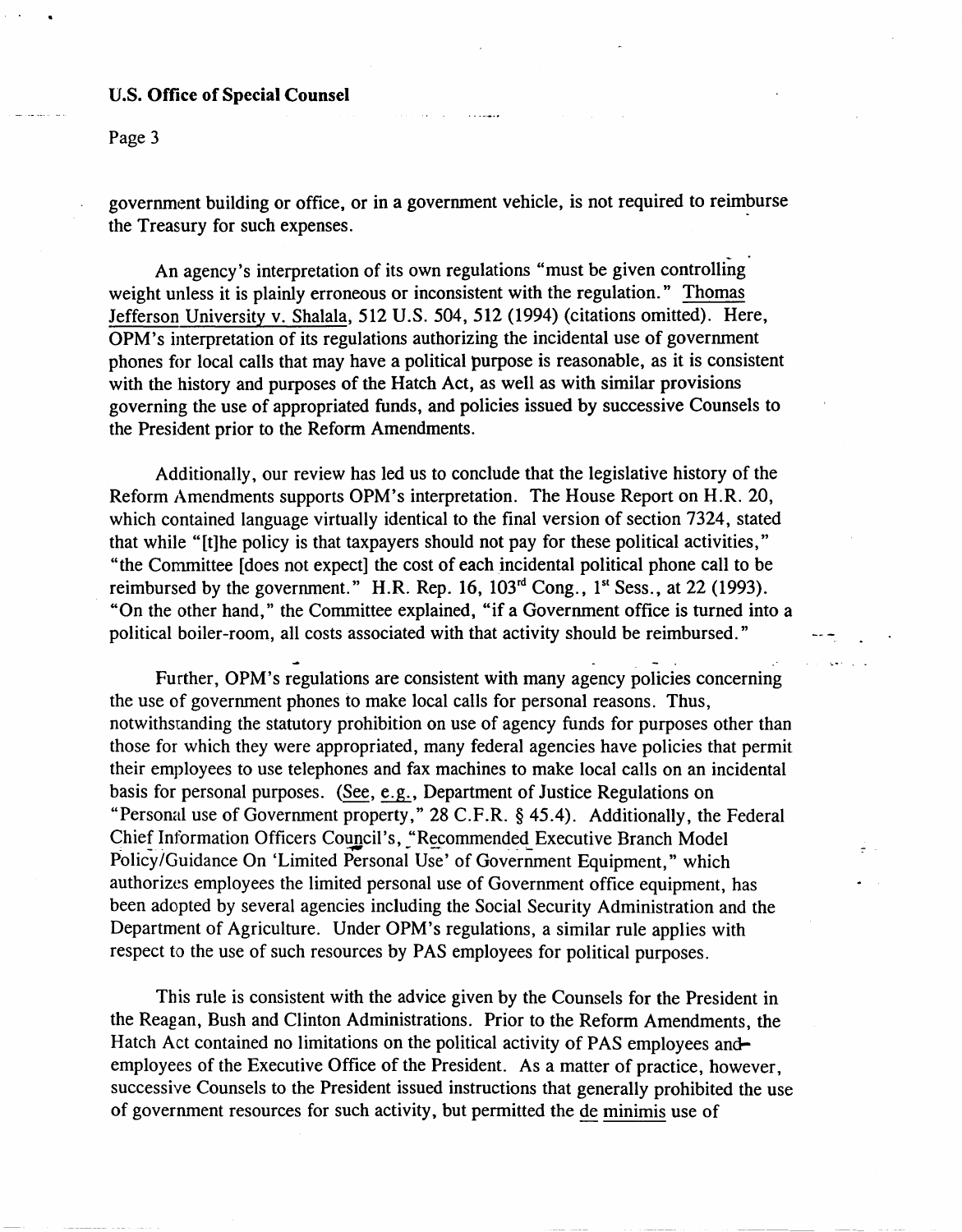### U.S. **Office of Special Counsel**

## Page 3

government building or office, or in a government vehicle, is not required to reimburse the Treasury for such expenses.

An agency's interpretation of its own regulations "must be given controlling weight unless it is plainly erroneous or inconsistent with the regulation." Thomas Jefferson University v. Shalala, 512 U.S. 504, 512 (1994) (citations omitted). Here, OPM's interpretation of its regulations authorizing the incidental use of government phones for local calls that may have a political purpose is reasonable, as it is consistent with the history and purposes of the Hatch Act, as well as with similar provisions governing the use of appropriated funds, and policies issued by successive Counsels to the President prior to the Reform Amendments.

Additionally, our review has led us to conclude that the legislative history of the Reform Amendments supports OPM's interpretation. The House Report on H.R. 20, which contained language virtually identical to the final version of section 7324, stated that while "[t]he policy is that taxpayers should not pay for these political activities," "the Committee [does not expect] the cost of each incidental political phone call to be reimbursed by the government." H.R. Rep. 16,  $103<sup>rd</sup>$  Cong., 1<sup>st</sup> Sess., at 22 (1993). "On the other hand," the Committee explained, "if a Government office is turned into a political boiler-room, all costs associated with that activity should be reimbursed."

Further, OPM's regulations are consistent with many agency policies concerning the use of government phones to make local calls for personal reasons. Thus, notwithstanding the statutory prohibition on use of agency funds for purposes other than those for which they were appropriated, many federal agencies have policies that permit their employees to use telephones and fax machines to make local calls on an incidental basis for personal purposes. (See, e.g., Department of Justice Regulations on "Personal use of Government property," 28 C.F.R. § 45.4). Additionally, the Federal Chief Information Officers Council's, "Recommended Executive Branch Model Policy/Guidance On 'Limited Personal Use' of Government Equipment," which authorizes employees the limited personal use of Government office equipment, has been adopted by several agencies including the Social Security Administration and the Department of Agriculture. Under OPM's regulations, a similar rule applies with respect to the use of such resources by PAS employees for political purposes.

This rule is consistent with the advice given by the Counsels for the President in the Reagan, Bush and Clinton Administrations. Prior to the Reform Amendments, the Hatch Act contained no limitations on the political activity of PAS employees andemployees of the Executive Office of the President. As a matter of practice, however, successive Counsels to the President issued instructions that generally prohibited the use of government resources for such activity, but permitted the de minimis use of